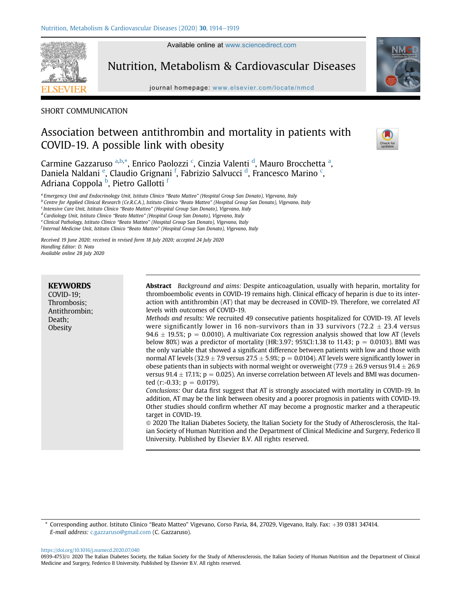Available online at [www.sciencedirect.com](www.sciencedirect.com/science/journal/09394753)

Nutrition, Metabolism & Cardiovascular Diseases





# SHORT COMMUNICATION

# Association between antithrombin and mortality in patients with COVID-19. A possible link with obesity



Carmine Gazzaruso <sup>[a,](#page-0-0)[b,](#page-0-1)[\\*](#page-0-2)</sup>, Enri[c](#page-0-3)o Paolozzi <sup>c</sup>, Cinzia Valenti <sup>[d](#page-0-4)</sup>, M[a](#page-0-0)uro Brocchetta <sup>a</sup>, Dani[e](#page-0-5)la Naldani <sup>e</sup>, Claudio Grignani <sup>[f](#page-0-6)</sup>, Fabrizio Salvucci <sup>[d](#page-0-4)</sup>, Fran[c](#page-0-3)esco Marino <sup>c</sup>, Adriana Coppola <sup>[b](#page-0-1)</sup>, Pietro Gallotti <sup>[f](#page-0-6)</sup>

<span id="page-0-0"></span>a Emergency Unit and Endocrinology Unit, Istituto Clinico "Beato Matteo" (Hospital Group San Donato), Vigevano, Italy

<span id="page-0-1"></span><sup>b</sup> Centre for Applied Clinical Research (Ce.R.C.A.), Istituto Clinico "Beato Matteo" (Hospital Group San Donato), Vigevano, Italy

<span id="page-0-3"></span><sup>c</sup> Intensive Care Unit, Istituto Clinico "Beato Matteo" (Hospital Group San Donato), Vigevano, Italy

<span id="page-0-4"></span><sup>d</sup> Cardiology Unit, Istituto Clinico "Beato Matteo" (Hospital Group San Donato), Vigevano, Italy

<span id="page-0-5"></span>e Clinical Pathology, Istituto Clinico "Beato Matteo" (Hospital Group San Donato), Vigevano, Italy

<span id="page-0-6"></span><sup>f</sup> Internal Medicine Unit, Istituto Clinico "Beato Matteo" (Hospital Group San Donato), Vigevano, Italy

Received 19 June 2020; received in revised form 18 July 2020; accepted 24 July 2020 Handling Editor: D. Noto Available online 28 July 2020

| <b>KEYWORDS</b><br>$COVID-19$ ;<br>Thrombosis;<br>Antithrombin:<br>Death;<br>Obesity | <b>Abstract</b> Background and aims: Despite anticoagulation, usually with heparin, mortality for<br>thromboembolic events in COVID-19 remains high. Clinical efficacy of heparin is due to its inter-<br>action with antithrombin (AT) that may be decreased in COVID-19. Therefore, we correlated AT<br>levels with outcomes of COVID-19.<br>Methods and results: We recruited 49 consecutive patients hospitalized for COVID-19. AT levels<br>were significantly lower in 16 non-survivors than in 33 survivors (72.2 $\pm$ 23.4 versus<br>94.6 $\pm$ 19.5%; p = 0.0010). A multivariate Cox regression analysis showed that low AT (levels<br>below 80%) was a predictor of mortality (HR:3.97; 95%CI:1.38 to 11.43; $p = 0.0103$ ). BMI was<br>the only variable that showed a significant difference between patients with low and those with<br>normal AT levels (32.9 $\pm$ 7.9 versus 27.5 $\pm$ 5.9%; p = 0.0104). AT levels were significantly lower in<br>obese patients than in subjects with normal weight or overweight (77.9 $\pm$ 26.9 versus 91.4 $\pm$ 26.9<br>versus 91.4 $\pm$ 17.1%; p = 0.025). An inverse correlation between AT levels and BMI was documen-<br>ted $(r(-0.33; p = 0.0179))$ .<br>Conclusions: Our data first suggest that AT is strongly associated with mortality in COVID-19. In<br>addition, AT may be the link between obesity and a poorer prognosis in patients with COVID-19.<br>Other studies should confirm whether AT may become a prognostic marker and a therapeutic<br>target in COVID-19.<br>© 2020 The Italian Diabetes Society, the Italian Society for the Study of Atherosclerosis, the Ital-<br>ian Society of Human Nutrition and the Department of Clinical Medicine and Surgery, Federico II<br>University. Published by Elsevier B.V. All rights reserved. |
|--------------------------------------------------------------------------------------|----------------------------------------------------------------------------------------------------------------------------------------------------------------------------------------------------------------------------------------------------------------------------------------------------------------------------------------------------------------------------------------------------------------------------------------------------------------------------------------------------------------------------------------------------------------------------------------------------------------------------------------------------------------------------------------------------------------------------------------------------------------------------------------------------------------------------------------------------------------------------------------------------------------------------------------------------------------------------------------------------------------------------------------------------------------------------------------------------------------------------------------------------------------------------------------------------------------------------------------------------------------------------------------------------------------------------------------------------------------------------------------------------------------------------------------------------------------------------------------------------------------------------------------------------------------------------------------------------------------------------------------------------------------------------------------------------------------------------------------------------------------------------------------------------------------------------|

<https://doi.org/10.1016/j.numecd.2020.07.040>

<span id="page-0-2"></span><sup>\*</sup> Corresponding author. Istituto Clinico "Beato Matteo" Vigevano, Corso Pavia, 84, 27029, Vigevano, Italy. Fax: +39 0381 347414. E-mail address: [c.gazzaruso@gmail.com](mailto:c.gazzaruso@gmail.com) (C. Gazzaruso).

<sup>0939-4753/@ 2020</sup> The Italian Diabetes Society, the Italian Society for the Study of Atherosclerosis, the Italian Society of Human Nutrition and the Department of Clinical Medicine and Surgery, Federico II University. Published by Elsevier B.V. All rights reserved.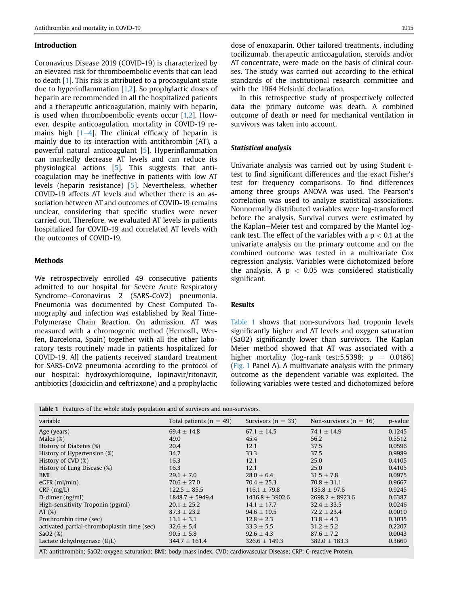#### Introduction

Coronavirus Disease 2019 (COVID-19) is characterized by an elevated risk for thromboembolic events that can lead to death [\[1\]](#page-4-0). This risk is attributed to a procoagulant state due to hyperinflammation  $[1,2]$  $[1,2]$  $[1,2]$ . So prophylactic doses of heparin are recommended in all the hospitalized patients and a therapeutic anticoagulation, mainly with heparin, is used when thromboembolic events occur [\[1,](#page-4-0)[2](#page-4-1)]. However, despite anticoagulation, mortality in COVID-19 remains high  $[1-4]$  $[1-4]$  $[1-4]$ . The clinical efficacy of heparin is mainly due to its interaction with antithrombin (AT), a powerful natural anticoagulant [\[5](#page-4-2)]. Hyperinflammation can markedly decrease AT levels and can reduce its physiological actions [[5](#page-4-2)]. This suggests that anticoagulation may be ineffective in patients with low AT levels (heparin resistance) [[5](#page-4-2)]. Nevertheless, whether COVID-19 affects AT levels and whether there is an association between AT and outcomes of COVID-19 remains unclear, considering that specific studies were never carried out. Therefore, we evaluated AT levels in patients hospitalized for COVID-19 and correlated AT levels with the outcomes of COVID-19.

#### **Methods**

We retrospectively enrolled 49 consecutive patients admitted to our hospital for Severe Acute Respiratory Syndrome-Coronavirus 2 (SARS-CoV2) pneumonia. Pneumonia was documented by Chest Computed Tomography and infection was established by Real Time-Polymerase Chain Reaction. On admission, AT was measured with a chromogenic method (HemosIL, Werfen, Barcelona, Spain) together with all the other laboratory tests routinely made in patients hospitalized for COVID-19. All the patients received standard treatment for SARS-CoV2 pneumonia according to the protocol of our hospital: hydroxychloroquine, lopinavir/ritonavir, antibiotics (doxiciclin and ceftriaxone) and a prophylactic dose of enoxaparin. Other tailored treatments, including tocilizumab, therapeutic anticoagulation, steroids and/or AT concentrate, were made on the basis of clinical courses. The study was carried out according to the ethical standards of the institutional research committee and with the 1964 Helsinki declaration.

In this retrospective study of prospectively collected data the primary outcome was death. A combined outcome of death or need for mechanical ventilation in survivors was taken into account.

# Statistical analysis

Univariate analysis was carried out by using Student ttest to find significant differences and the exact Fisher's test for frequency comparisons. To find differences among three groups ANOVA was used. The Pearson's correlation was used to analyze statistical associations. Nonnormally distributed variables were log-transformed before the analysis. Survival curves were estimated by the Kaplan-Meier test and compared by the Mantel logrank test. The effect of the variables with a  $p < 0.1$  at the univariate analysis on the primary outcome and on the combined outcome was tested in a multivariate Cox regression analysis. Variables were dichotomized before the analysis. A  $p < 0.05$  was considered statistically significant.

# Results

[Table 1](#page-1-0) shows that non-survivors had troponin levels significantly higher and AT levels and oxygen saturation (SaO2) significantly lower than survivors. The Kaplan Meier method showed that AT was associated with a higher mortality (log-rank test: 5.5398;  $p = 0.0186$ ) ([Fig. 1](#page-2-0) Panel A). A multivariate analysis with the primary outcome as the dependent variable was exploited. The following variables were tested and dichotomized before

<span id="page-1-0"></span>

|  |  |  |  |  |  |  |  | <b>Table 1</b> Features of the whole study population and of survivors and non-survivors. |
|--|--|--|--|--|--|--|--|-------------------------------------------------------------------------------------------|
|--|--|--|--|--|--|--|--|-------------------------------------------------------------------------------------------|

| variable                                    | Total patients ( $n = 49$ ) | Survivors ( $n = 33$ ) | Non-survivors ( $n = 16$ ) | p-value |
|---------------------------------------------|-----------------------------|------------------------|----------------------------|---------|
| Age (years)                                 | $69.4 \pm 14.8$             | $67.1 \pm 14.5$        | $74.1 \pm 14.9$            | 0.1245  |
| Males $(\%)$                                | 49.0                        | 45.4                   | 56.2                       | 0.5512  |
| History of Diabetes (%)                     | 20.4                        | 12.1                   | 37.5                       | 0.0596  |
| History of Hypertension (%)                 | 34.7                        | 33.3                   | 37.5                       | 0.9989  |
| History of CVD (%)                          | 16.3                        | 12.1                   | 25.0                       | 0.4105  |
| History of Lung Disease (%)                 | 16.3                        | 12.1                   | 25.0                       | 0.4105  |
| BMI                                         | $29.1 \pm 7.0$              | $28.0 \pm 6.4$         | $31.5 \pm 7.8$             | 0.0975  |
| $eGFR$ (ml/min)                             | $70.6 \pm 27.0$             | $70.4 \pm 25.3$        | $70.8 \pm 31.1$            | 0.9667  |
| $CRP$ (mg/L)                                | $122.5 \pm 85.5$            | $116.1 \pm 79.8$       | $135.8 \pm 97.6$           | 0.9245  |
| D-dimer $(ng/ml)$                           | $1848.7 \pm 5949.4$         | $1436.8 \pm 3902.6$    | $2698.2 \pm 8923.6$        | 0.6387  |
| High-sensitivity Troponin (pg/ml)           | $20.1 \pm 25.2$             | $14.1 \pm 17.7$        | $32.4 \pm 33.5$            | 0.0246  |
| AT $(\%)$                                   | $87.3 \pm 23.2$             | $94.6 \pm 19.5$        | $72.2 \pm 23.4$            | 0.0010  |
| Prothrombin time (sec)                      | $13.1 \pm 3.1$              | $12.8 \pm 2.3$         | $13.8 \pm 4.3$             | 0.3035  |
| activated partial-thromboplastin time (sec) | $32.6 \pm 5.4$              | $33.3 \pm 5.5$         | $31.2 \pm 5.2$             | 0.2207  |
| SaO2(%)                                     | $90.5 \pm 5.8$              | $92.6 \pm 4.3$         | $87.6 \pm 7.2$             | 0.0043  |
| Lactate dehydrogenase (U/L)                 | $344.7 \pm 161.4$           | $326.6 \pm 149.3$      | $382.0 \pm 183.3$          | 0.3669  |

AT: antithrombin; SaO2: oxygen saturation; BMI: body mass index. CVD: cardiovascular Disease; CRP: C-reactive Protein.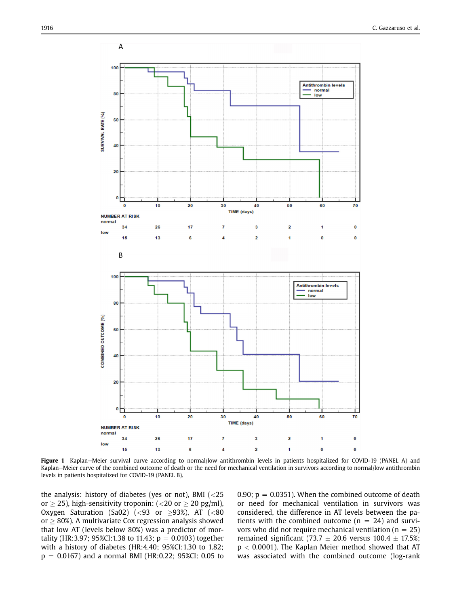<span id="page-2-0"></span>

Figure 1 Kaplan-Meier survival curve according to normal/low antithrombin levels in patients hospitalized for COVID-19 (PANEL A) and Kaplan–Meier curve of the combined outcome of death or the need for mechanical ventilation in survivors according to normal/low antithrombin levels in patients hospitalized for COVID-19 (PANEL B).

the analysis: history of diabetes (yes or not), BMI (<25 or  $\geq$  25), high-sensitivity troponin: (<20 or  $\geq$  20 pg/ml), Oxygen Saturation (Sa02) (<93 or  $\geq$ 93%), AT (<80  $or > 80\%$ ). A multivariate Cox regression analysis showed that low AT (levels below 80%) was a predictor of mortality (HR:3.97; 95%CI:1.38 to 11.43;  $p = 0.0103$ ) together with a history of diabetes (HR:4.40; 95%CI:1.30 to 1.82;  $p = 0.0167$ ) and a normal BMI (HR:0.22; 95%CI: 0.05 to 0.90;  $p = 0.0351$ ). When the combined outcome of death or need for mechanical ventilation in survivors was considered, the difference in AT levels between the patients with the combined outcome ( $n = 24$ ) and survivors who did not require mechanical ventilation ( $n = 25$ ) remained significant (73.7  $\pm$  20.6 versus 100.4  $\pm$  17.5%;  $p < 0.0001$ ). The Kaplan Meier method showed that AT was associated with the combined outcome (log-rank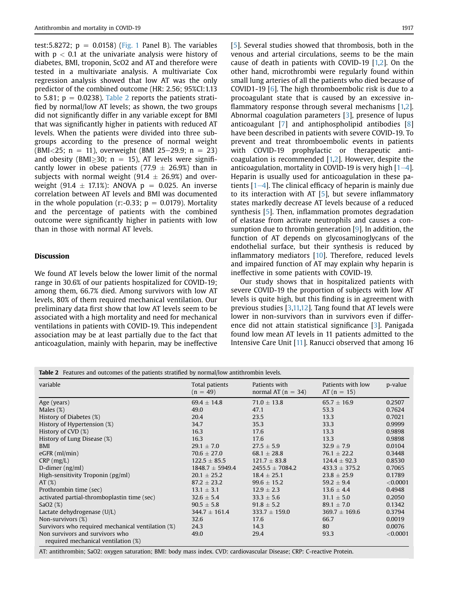test: 5.8272;  $p = 0.0158$ ) [\(Fig. 1](#page-2-0) Panel B). The variables with  $p < 0.1$  at the univariate analysis were history of diabetes, BMI, troponin, ScO2 and AT and therefore were tested in a multivariate analysis. A multivariate Cox regression analysis showed that low AT was the only predictor of the combined outcome (HR: 2.56; 95%CI:1.13 to 5.81;  $p = 0.0238$ ). [Table 2](#page-3-0) reports the patients stratified by normal/low AT levels; as shown, the two groups did not significantly differ in any variable except for BMI that was significantly higher in patients with reduced AT levels. When the patients were divided into three subgroups according to the presence of normal weight (BMI<25; n = 11), overweight (BMI 25-29.9; n = 23) and obesity (BMI $>$ 30; n = 15), AT levels were significantly lower in obese patients (77.9  $\pm$  26.9%) than in subjects with normal weight (91.4  $\pm$  26.9%) and overweight (91.4  $\pm$  17.1%): ANOVA p = 0.025. An inverse correlation between AT levels and BMI was documented in the whole population (r:-0.33;  $p = 0.0179$ ). Mortality and the percentage of patients with the combined outcome were significantly higher in patients with low than in those with normal AT levels.

#### **Discussion**

We found AT levels below the lower limit of the normal range in 30.6% of our patients hospitalized for COVID-19; among them, 66.7% died. Among survivors with low AT levels, 80% of them required mechanical ventilation. Our preliminary data first show that low AT levels seem to be associated with a high mortality and need for mechanical ventilations in patients with COVID-19. This independent association may be at least partially due to the fact that anticoagulation, mainly with heparin, may be ineffective [[5\]](#page-4-2). Several studies showed that thrombosis, both in the venous and arterial circulations, seems to be the main cause of death in patients with COVID-19 [[1,](#page-4-0)[2](#page-4-1)]. On the other hand, microthrombi were regularly found within small lung arteries of all the patients who died because of COVID1-19 [[6](#page-4-3)]. The high thromboembolic risk is due to a procoagulant state that is caused by an excessive inflammatory response through several mechanisms [\[1,](#page-4-0)[2](#page-4-1)]. Abnormal coagulation parameters [[3\]](#page-4-4), presence of lupus anticoagulant [\[7](#page-4-5)] and antiphospholipid antibodies [\[8](#page-4-6)] have been described in patients with severe COVID-19. To prevent and treat thromboembolic events in patients with COVID-19 prophylactic or therapeutic anticoagulation is recommended [\[1,](#page-4-0)[2](#page-4-1)]. However, despite the anticoagulation, mortality in COVID-[1](#page-4-0)9 is very high  $[1-4]$  $[1-4]$  $[1-4]$ . Heparin is usually used for anticoagulation in these patients  $[1-4]$  $[1-4]$  $[1-4]$  $[1-4]$  $[1-4]$ . The clinical efficacy of heparin is mainly due to its interaction with AT [[5\]](#page-4-2), but severe inflammatory states markedly decrease AT levels because of a reduced synthesis [[5](#page-4-2)]. Then, inflammation promotes degradation of elastase from activate neutrophils and causes a consumption due to thrombin generation [[9](#page-4-7)]. In addition, the function of AT depends on glycosaminoglycans of the endothelial surface, but their synthesis is reduced by inflammatory mediators [\[10](#page-4-8)]. Therefore, reduced levels and impaired function of AT may explain why heparin is ineffective in some patients with COVID-19.

Our study shows that in hospitalized patients with severe COVID-19 the proportion of subjects with low AT levels is quite high, but this finding is in agreement with previous studies [[3,](#page-4-4)[11,](#page-4-9)[12\]](#page-4-10). Tang found that AT levels were lower in non-survivors than in survivors even if difference did not attain statistical significance [\[3\]](#page-4-4). Panigada found low mean AT levels in 11 patients admitted to the Intensive Care Unit [[11](#page-4-9)]. Ranucci observed that among 16

<span id="page-3-0"></span>Table 2 Features and outcomes of the patients stratified by normal/low antithrombin levels.

| variable                                                               | Total patients<br>$(n = 49)$ | Patients with<br>normal AT $(n = 34)$ | Patients with low<br>$AT(n = 15)$ | p-value  |
|------------------------------------------------------------------------|------------------------------|---------------------------------------|-----------------------------------|----------|
| Age (years)                                                            | $69.4 \pm 14.8$              | $71.0 \pm 13.8$                       | $65.7 \pm 16.9$                   | 0.2507   |
| Males $(\%)$                                                           | 49.0                         | 47.1                                  | 53.3                              | 0.7624   |
| History of Diabetes (%)                                                | 20.4                         | 23.5                                  | 13.3                              | 0.7021   |
| History of Hypertension (%)                                            | 34.7                         | 35.3                                  | 33.3                              | 0.9999   |
| History of CVD (%)                                                     | 16.3                         | 17.6                                  | 13.3                              | 0.9898   |
| History of Lung Disease (%)                                            | 16.3                         | 17.6                                  | 13.3                              | 0.9898   |
| BMI                                                                    | $29.1 \pm 7.0$               | $27.5 \pm 5.9$                        | $32.9 \pm 7.9$                    | 0.0104   |
| $eGFR$ (ml/min)                                                        | $70.6 \pm 27.0$              | $68.1 \pm 28.8$                       | $76.1 \pm 22.2$                   | 0.3448   |
| $CRP$ (mg/L)                                                           | $122.5 \pm 85.5$             | $121.7 \pm 83.8$                      | $124.4 \pm 92.3$                  | 0.8530   |
| D-dimer $(ng/ml)$                                                      | $1848.7 \pm 5949.4$          | $2455.5 \pm 7084.2$                   | $433.3 \pm 375.2$                 | 0.7065   |
| High-sensitivity Troponin (pg/ml)                                      | $20.1 \pm 25.2$              | $18.4 \pm 25.1$                       | $23.8 \pm 25.9$                   | 0.1789   |
| AT $(\%)$                                                              | $87.2 + 23.2$                | $99.6 + 15.2$                         | $59.2 + 9.4$                      | < 0.0001 |
| Prothrombin time (sec)                                                 | $13.1 \pm 3.1$               | $12.9 \pm 2.3$                        | $13.6 \pm 4.4$                    | 0.4948   |
| activated partial-thromboplastin time (sec)                            | $32.6 \pm 5.4$               | $33.3 \pm 5.6$                        | $31.1 \pm 5.0$                    | 0.2050   |
| SaO2(%)                                                                | $90.5 \pm 5.8$               | $91.8 \pm 5.2$                        | $89.1 \pm 7.0$                    | 0.1342   |
| Lactate dehydrogenase (U/L)                                            | $344.7 \pm 161.4$            | $333.7 \pm 159.0$                     | $369.7 \pm 169.6$                 | 0.3794   |
| Non-survivors (%)                                                      | 32.6                         | 17.6                                  | 66.7                              | 0.0019   |
| Survivors who required mechanical ventilation (%)                      | 24.3                         | 14.3                                  | 80                                | 0.0076   |
| Non survivors and survivors who<br>required mechanical ventilation (%) | 49.0                         | 29.4                                  | 93.3                              | < 0.0001 |

AT: antithrombin; SaO2: oxygen saturation; BMI: body mass index. CVD: cardiovascular Disease; CRP: C-reactive Protein.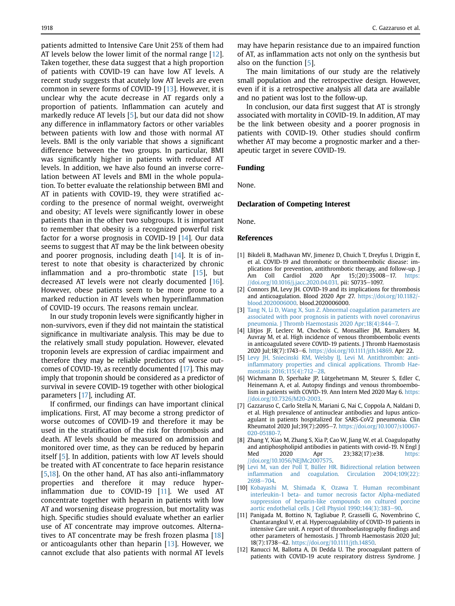patients admitted to Intensive Care Unit 25% of them had AT levels below the lower limit of the normal range [[12\]](#page-4-10). Taken together, these data suggest that a high proportion of patients with COVID-19 can have low AT levels. A recent study suggests that acutely low AT levels are even common in severe forms of COVID-19 [[13](#page-5-0)]. However, it is unclear why the acute decrease in AT regards only a proportion of patients. Inflammation can acutely and markedly reduce AT levels [\[5](#page-4-2)], but our data did not show any difference in inflammatory factors or other variables between patients with low and those with normal AT levels. BMI is the only variable that shows a significant difference between the two groups. In particular, BMI was significantly higher in patients with reduced AT levels. In addition, we have also found an inverse correlation between AT levels and BMI in the whole population. To better evaluate the relationship between BMI and AT in patients with COVID-19, they were stratified according to the presence of normal weight, overweight and obesity; AT levels were significantly lower in obese patients than in the other two subgroups. It is important to remember that obesity is a recognized powerful risk factor for a worse prognosis in COVID-19 [[14\]](#page-5-1). Our data seems to suggest that AT may be the link between obesity and poorer prognosis, including death [[14](#page-5-1)]. It is of interest to note that obesity is characterized by chronic inflammation and a pro-thrombotic state [\[15](#page-5-2)], but decreased AT levels were not clearly documented [[16\]](#page-5-3). However, obese patients seem to be more prone to a marked reduction in AT levels when hyperinflammation of COVID-19 occurs. The reasons remain unclear.

In our study troponin levels were significantly higher in non-survivors, even if they did not maintain the statistical significance in multivariate analysis. This may be due to the relatively small study population. However, elevated troponin levels are expression of cardiac impairment and therefore they may be reliable predictors of worse outcomes of COVID-19, as recently documented [\[17\]](#page-5-4). This may imply that troponin should be considered as a predictor of survival in severe COVID-19 together with other biological parameters [\[17\]](#page-5-4), including AT.

If confirmed, our findings can have important clinical implications. First, AT may become a strong predictor of worse outcomes of COVID-19 and therefore it may be used in the stratification of the risk for thrombosis and death. AT levels should be measured on admission and monitored over time, as they can be reduced by heparin itself [[5\]](#page-4-2). In addition, patients with low AT levels should be treated with AT concentrate to face heparin resistance [[5](#page-4-2)[,18\]](#page-5-5). On the other hand, AT has also anti-inflammatory properties and therefore it may reduce hyperinflammation due to COVID-19 [[11](#page-4-9)]. We used AT concentrate together with heparin in patients with low AT and worsening disease progression, but mortality was high. Specific studies should evaluate whether an earlier use of AT concentrate may improve outcomes. Alternatives to AT concentrate may be fresh frozen plasma [[18\]](#page-5-5) or anticoagulants other than heparin [[13\]](#page-5-0). However, we cannot exclude that also patients with normal AT levels

may have heparin resistance due to an impaired function of AT, as inflammation acts not only on the synthesis but also on the function [\[5\]](#page-4-2).

The main limitations of our study are the relatively small population and the retrospective design. However, even if it is a retrospective analysis all data are available and no patient was lost to the follow-up.

In conclusion, our data first suggest that AT is strongly associated with mortality in COVID-19. In addition, AT may be the link between obesity and a poorer prognosis in patients with COVID-19. Other studies should confirm whether AT may become a prognostic marker and a therapeutic target in severe COVID-19.

## Funding

None.

# Declaration of Competing Interest

None.

#### References

- <span id="page-4-0"></span>[1] Bikdeli B, Madhavan MV, Jimenez D, Chuich T, Dreyfus I, Driggin E, et al. COVID-19 and thrombotic or thromboembolic disease: implications for prevention, antithrombotic therapy, and follow-up. J Am Coll Cardiol 2020 Apr 15;(20):35008-17. [https:](https://doi.org/10.1016/j.jacc.2020.04.031) [//doi.org/10.1016/j.jacc.2020.04.031.](https://doi.org/10.1016/j.jacc.2020.04.031) pii: S0735-1097.
- <span id="page-4-1"></span>[2] Connors JM, Levy JH. COVID-19 and its implications for thrombosis and anticoagulation. Blood 2020 Apr 27. [https://doi.org/10.1182/](https://doi.org/10.1182/blood.2020006000) [blood.2020006000](https://doi.org/10.1182/blood.2020006000). blood.2020006000.
- <span id="page-4-4"></span>[3] [Tang N, Li D, Wang X, Sun Z. Abnormal coagulation parameters are](http://refhub.elsevier.com/S0939-4753(20)30315-X/sref3) [associated with poor prognosis in patients with novel coronavirus](http://refhub.elsevier.com/S0939-4753(20)30315-X/sref3) [pneumonia. J Thromb Haemostasis 2020 Apr;18\(4\):844](http://refhub.elsevier.com/S0939-4753(20)30315-X/sref3)-[7.](http://refhub.elsevier.com/S0939-4753(20)30315-X/sref3)
- [4] Llitjos JF, Leclerc M, Chochois C, Monsallier JM, Ramakers M, Auvray M, et al. High incidence of venous thromboembolic events in anticoagulated severe COVID-19 patients. J Thromb Haemostasis 2020 Jul;18(7):1743-6. <https://doi.org/10.1111/jth.14869>. Apr 22.
- <span id="page-4-2"></span>[5] [Levy JH, Sniecinski RM, Welsby IJ, Levi M. Antithrombin: anti](http://refhub.elsevier.com/S0939-4753(20)30315-X/sref5)infl[ammatory properties and clinical applications. Thromb Hae](http://refhub.elsevier.com/S0939-4753(20)30315-X/sref5)[mostasis 2016;115\(4\):712](http://refhub.elsevier.com/S0939-4753(20)30315-X/sref5)-[28](http://refhub.elsevier.com/S0939-4753(20)30315-X/sref5).
- <span id="page-4-3"></span>[6] Wichmann D, Sperhake JP, Lütgehetmann M, Steurer S, Edler C, Heinemann A, et al. Autopsy findings and venous thromboembolism in patients with COVID-19. Ann Intern Med 2020 May 6. [https:](https://doi.org/10.7326/M20-2003) [//doi.org/10.7326/M20-2003.](https://doi.org/10.7326/M20-2003)
- <span id="page-4-5"></span>[7] Gazzaruso C, Carlo Stella N, Mariani G, Nai C, Coppola A, Naldani D, et al. High prevalence of antinuclear antibodies and lupus anticoagulant in patients hospitalized for SARS-CoV2 pneumonia. Clin Rheumatol 2020 Jul;39(7):2095-7. [https://doi.org/10.1007/s10067-](https://doi.org/10.1007/s10067-020-05180-7) [020-05180-7.](https://doi.org/10.1007/s10067-020-05180-7)
- <span id="page-4-6"></span>[8] Zhang Y, Xiao M, Zhang S, Xia P, Cao W, Jiang W, et al. Coagulopathy and antiphospholipid antibodies in patients with covid-19. N Engl | Med 2020 Apr 23;382(17):e38. [https:](https://doi.org/10.1056/NEJMc2007575) [//doi.org/10.1056/NEJMc2007575.](https://doi.org/10.1056/NEJMc2007575)
- <span id="page-4-7"></span>[9] [Levi M, van der Poll T, Büller HR. Bidirectional relation between](http://refhub.elsevier.com/S0939-4753(20)30315-X/sref9) infl[ammation and coagulation. Circulation 2004;109\(22\):](http://refhub.elsevier.com/S0939-4753(20)30315-X/sref9) [2698](http://refhub.elsevier.com/S0939-4753(20)30315-X/sref9)-[704](http://refhub.elsevier.com/S0939-4753(20)30315-X/sref9).
- <span id="page-4-8"></span>[10] [Kobayashi M, Shimada K, Ozawa T. Human recombinant](http://refhub.elsevier.com/S0939-4753(20)30315-X/sref10) [interleukin-1 beta- and tumor necrosis factor Alpha-mediated](http://refhub.elsevier.com/S0939-4753(20)30315-X/sref10) [suppression of heparin-like compounds on cultured porcine](http://refhub.elsevier.com/S0939-4753(20)30315-X/sref10) [aortic endothelial cells. J Cell Physiol 1990;144\(3\):383](http://refhub.elsevier.com/S0939-4753(20)30315-X/sref10)-[90](http://refhub.elsevier.com/S0939-4753(20)30315-X/sref10).
- <span id="page-4-9"></span>[11] Panigada M, Bottino N, Tagliabue P, Grasselli G, Novembrino C, Chantarangkul V, et al. Hypercoagulability of COVID-19 patients in intensive Care unit. A report of thromboelastography findings and other parameters of hemostasis. J Thromb Haemostasis 2020 Jul; 18(7):1738-42. <https://doi.org/10.1111/jth.14850>.
- <span id="page-4-10"></span>[12] Ranucci M, Ballotta A, Di Dedda U. The procoagulant pattern of patients with COVID-19 acute respiratory distress Syndrome. J